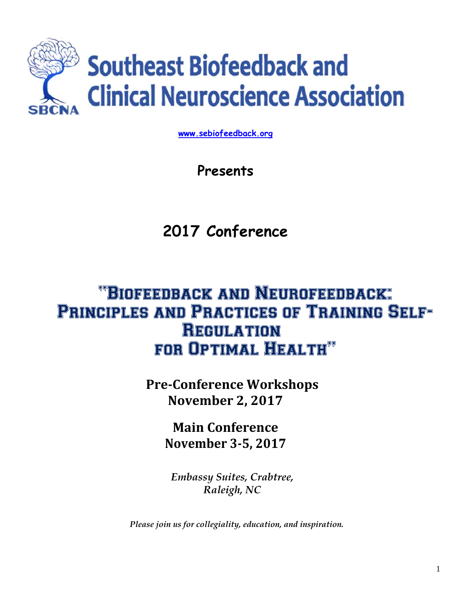

**www.sebiofeedback.org**

**Presents** 

**2017 Conference** 

# "Biofeedback and Neurofeedback: Principles and Practices of Training Self-Regulation for Optimal Health"

**PreConference Workshops November 2, 2017**

> **Main Conference November 35, 2017**

*Embassy Suites, Crabtree, Raleigh, NC* 

*Please join us for collegiality, education, and inspiration.*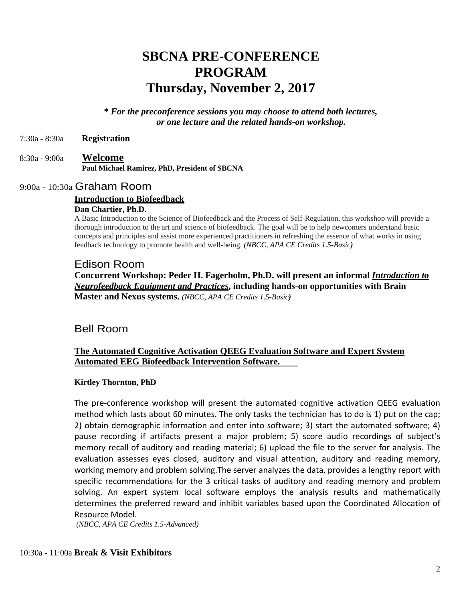## **SBCNA PRE-CONFERENCE PROGRAM Thursday, November 2, 2017**

**\*** *For the preconference sessions you may choose to attend both lectures, or one lecture and the related hands-on workshop.* 

7:30a - 8:30a **Registration** 

8:30a - 9:00a **Welcome Paul Michael Ramirez, PhD, President of SBCNA** 

## 9:00a - 10:30a Graham Room

#### **Introduction to Biofeedback**

#### **Dan Chartier, Ph.D.**

A Basic Introduction to the Science of Biofeedback and the Process of Self-Regulation, this workshop will provide a thorough introduction to the art and science of biofeedback. The goal will be to help newcomers understand basic concepts and principles and assist more experienced practitioners in refreshing the essence of what works in using feedback technology to promote health and well-being. *(NBCC, APA CE Credits 1.5-Basic)* 

#### Edison Room

**Concurrent Workshop: Peder H. Fagerholm, Ph.D. will present an informal** *Introduction to Neurofeedback Equipment and Practices***, including hands-on opportunities with Brain Master and Nexus systems.** *(NBCC, APA CE Credits 1.5-Basic)* 

## Bell Room

## **The Automated Cognitive Activation QEEG Evaluation Software and Expert System Automated EEG Biofeedback Intervention Software.**

### **Kirtley Thornton, PhD**

The pre‐conference workshop will present the automated cognitive activation QEEG evaluation method which lasts about 60 minutes. The only tasks the technician has to do is 1) put on the cap; 2) obtain demographic information and enter into software; 3) start the automated software; 4) pause recording if artifacts present a major problem; 5) score audio recordings of subject's memory recall of auditory and reading material; 6) upload the file to the server for analysis. The evaluation assesses eyes closed, auditory and visual attention, auditory and reading memory, working memory and problem solving.The server analyzes the data, provides a lengthy report with specific recommendations for the 3 critical tasks of auditory and reading memory and problem solving. An expert system local software employs the analysis results and mathematically determines the preferred reward and inhibit variables based upon the Coordinated Allocation of Resource Model.

 *(NBCC, APA CE Credits 1.5-Advanced)*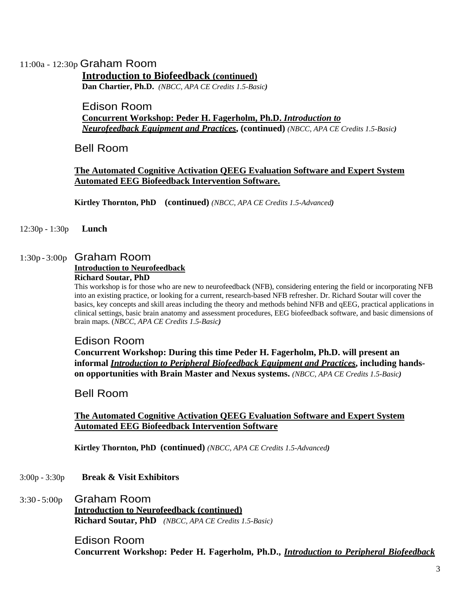## 11:00a - 12:30p Graham Room

## **Introduction to Biofeedback (continued)**

**Dan Chartier, Ph.D.** *(NBCC, APA CE Credits 1.5-Basic)* 

## Edison Room **Concurrent Workshop: Peder H. Fagerholm, Ph.D.** *Introduction to Neurofeedback Equipment and Practices***, (continued)** *(NBCC, APA CE Credits 1.5-Basic)*

Bell Room

## **The Automated Cognitive Activation QEEG Evaluation Software and Expert System Automated EEG Biofeedback Intervention Software.**

**Kirtley Thornton, PhD (continued)** *(NBCC, APA CE Credits 1.5-Advanced)* 

12:30p - 1:30p **Lunch** 

## 1:30p - 3:00p Graham Room

## **Introduction to Neurofeedback**

#### **Richard Soutar, PhD**

This workshop is for those who are new to neurofeedback (NFB), considering entering the field or incorporating NFB into an existing practice, or looking for a current, research-based NFB refresher. Dr. Richard Soutar will cover the basics, key concepts and skill areas including the theory and methods behind NFB and qEEG, practical applications in clinical settings, basic brain anatomy and assessment procedures, EEG biofeedback software, and basic dimensions of brain maps. (*NBCC*, *APA CE Credits 1.5-Basic)* 

## Edison Room

**Concurrent Workshop: During this time Peder H. Fagerholm, Ph.D. will present an informal** *Introduction to Peripheral Biofeedback Equipment and Practices***, including handson opportunities with Brain Master and Nexus systems.** *(NBCC, APA CE Credits 1.5-Basic)* 

Bell Room

## **The Automated Cognitive Activation QEEG Evaluation Software and Expert System Automated EEG Biofeedback Intervention Software**

 **Kirtley Thornton, PhD (continued)** *(NBCC, APA CE Credits 1.5-Advanced)* 

- 3:00p 3:30p **Break & Visit Exhibitors**
- 3:30 5:00p Graham Room **Introduction to Neurofeedback (continued) Richard Soutar, PhD** *(NBCC, APA CE Credits 1.5-Basic)*

Edison Room **Concurrent Workshop: Peder H. Fagerholm, Ph.D.,** *Introduction to Peripheral Biofeedback*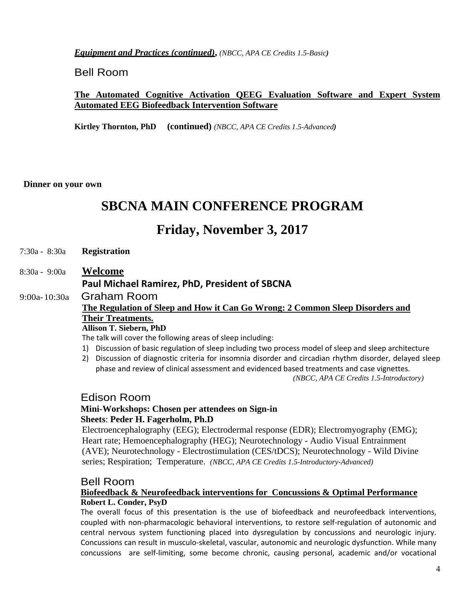*Equipment and Practices (continued)***,** *(NBCC, APA CE Credits 1.5-Basic)* 

Bell Room

## **The Automated Cognitive Activation QEEG Evaluation Software and Expert System Automated EEG Biofeedback Intervention Software**

 **Kirtley Thornton, PhD (continued)** *(NBCC, APA CE Credits 1.5-Advanced)* 

**Dinner on your own** 

## **SBCNA MAIN CONFERENCE PROGRAM**

## **Friday, November 3, 2017**

- 7:30a 8:30a **Registration**
- 8:30a 9:00a **Welcome Paul Michael Ramirez, PhD, President of SBCNA**
- 9:00a- 10:30a Graham Room **The Regulation of Sleep and How it Can Go Wrong: 2 Common Sleep Disorders and Their Treatments. Allison T. Siebern, PhD**

The talk will cover the following areas of sleep including:

- 1) Discussion of basic regulation of sleep including two process model of sleep and sleep architecture
- 2) Discussion of diagnostic criteria for insomnia disorder and circadian rhythm disorder, delayed sleep phase and review of clinical assessment and evidenced based treatments and case vignettes.

*(NBCC, APA CE Credits 1.5-Introductory)*

## Edison Room

## **Mini-Workshops: Chosen per attendees on Sign-in Sheets**: **Peder H. Fagerholm, Ph.D**

Electroencephalography (EEG); Electrodermal response (EDR); Electromyography (EMG); Heart rate; Hemoencephalography (HEG); Neurotechnology - Audio Visual Entrainment (AVE); Neurotechnology - Electrostimulation (CES/tDCS); Neurotechnology - Wild Divine series; Respiration; Temperature. *(NBCC, APA CE Credits 1.5-Introductory-Advanced)* 

## Bell Room

## **Biofeedback & Neurofeedback interventions for Concussions & Optimal Performance Robert L. Conder, PsyD**

The overall focus of this presentation is the use of biofeedback and neurofeedback interventions, coupled with non-pharmacologic behavioral interventions, to restore self-regulation of autonomic and central nervous system functioning placed into dysregulation by concussions and neurologic injury. Concussions can result in musculo‐skeletal, vascular, autonomic and neurologic dysfunction. While many concussions are self‐limiting, some become chronic, causing personal, academic and/or vocational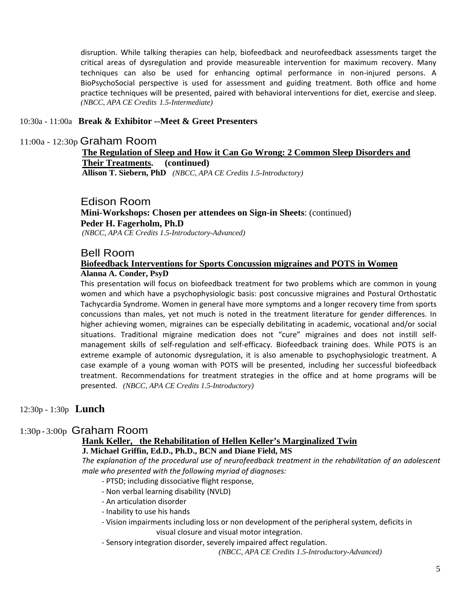disruption. While talking therapies can help, biofeedback and neurofeedback assessments target the critical areas of dysregulation and provide measureable intervention for maximum recovery. Many techniques can also be used for enhancing optimal performance in non-injured persons. A BioPsychoSocial perspective is used for assessment and guiding treatment. Both office and home practice techniques will be presented, paired with behavioral interventions for diet, exercise and sleep. *(NBCC, APA CE Credits 1.5-Intermediate)*

### 10:30a - 11:00a **Break & Exhibitor --Meet & Greet Presenters**

#### 11:00a - 12:30p Graham Room

**The Regulation of Sleep and How it Can Go Wrong: 2 Common Sleep Disorders and Their Treatments. (continued) Allison T. Siebern, PhD** *(NBCC, APA CE Credits 1.5-Introductory)*

Edison Room

**Mini-Workshops: Chosen per attendees on Sign-in Sheets**: (continued) **Peder H. Fagerholm, Ph.D**  *(NBCC, APA CE Credits 1.5-Introductory-Advanced)* 

### Bell Room

### **Biofeedback Interventions for Sports Concussion migraines and POTS in Women Alanna A. Conder, PsyD**

This presentation will focus on biofeedback treatment for two problems which are common in young women and which have a psychophysiologic basis: post concussive migraines and Postural Orthostatic Tachycardia Syndrome. Women in general have more symptoms and a longer recovery time from sports concussions than males, yet not much is noted in the treatment literature for gender differences. In higher achieving women, migraines can be especially debilitating in academic, vocational and/or social situations. Traditional migraine medication does not "cure" migraines and does not instill self‐ management skills of self‐regulation and self‐efficacy. Biofeedback training does. While POTS is an extreme example of autonomic dysregulation, it is also amenable to psychophysiologic treatment. A case example of a young woman with POTS will be presented, including her successful biofeedback treatment. Recommendations for treatment strategies in the office and at home programs will be presented. *(NBCC, APA CE Credits 1.5-Introductory)*

### 12:30p - 1:30p **Lunch**

### 1:30p - 3:00p Graham Room

## **Hank Keller, the Rehabilitation of Hellen Keller's Marginalized Twin**

#### **J. Michael Griffin, Ed.D., Ph.D., BCN and Diane Field, MS**

*The explanation of the procedural use of neurofeedback treatment in the rehabilitation of an adolescent male who presented with the following myriad of diagnoses:*

- ‐ PTSD; including dissociative flight response,
- ‐ Non verbal learning disability (NVLD)
- ‐ An articulation disorder
- ‐ Inability to use his hands
- ‐ Vision impairments including loss or non development of the peripheral system, deficits in visual closure and visual motor integration.
- ‐ Sensory integration disorder, severely impaired affect regulation.

*(NBCC, APA CE Credits 1.5-Introductory-Advanced)*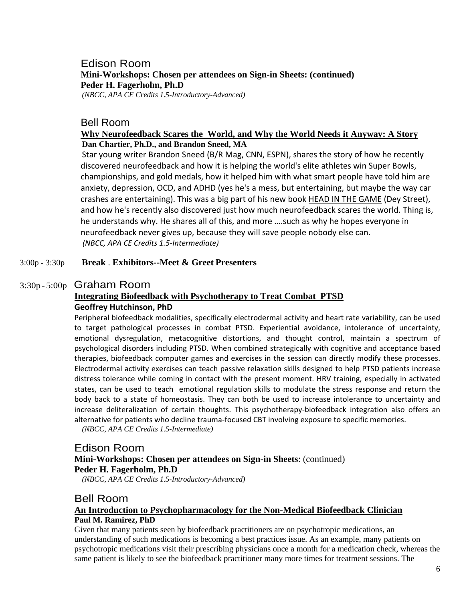## Edison Room **Mini-Workshops: Chosen per attendees on Sign-in Sheets: (continued) Peder H. Fagerholm, Ph.D**  *(NBCC, APA CE Credits 1.5-Introductory-Advanced)*

### Bell Room

### **Why Neurofeedback Scares the World, and Why the World Needs it Anyway: A Story Dan Chartier, Ph.D., and Brandon Sneed, MA**

Star young writer Brandon Sneed (B/R Mag, CNN, ESPN), shares the story of how he recently discovered neurofeedback and how it is helping the world's elite athletes win Super Bowls, championships, and gold medals, how it helped him with what smart people have told him are anxiety, depression, OCD, and ADHD (yes he's a mess, but entertaining, but maybe the way car crashes are entertaining). This was a big part of his new book HEAD IN THE GAME (Dey Street), and how he's recently also discovered just how much neurofeedback scares the world. Thing is, he understands why. He shares all of this, and more ….such as why he hopes everyone in neurofeedback never gives up, because they will save people nobody else can. *(NBCC, APA CE Credits 1.5‐Intermediate)*

#### 3:00p - 3:30p **Break** . **Exhibitors--Meet & Greet Presenters**

## 3:30p - 5:00p Graham Room

## **Integrating Biofeedback with Psychotherapy to Treat Combat PTSD Geoffrey Hutchinson, PhD**

Peripheral biofeedback modalities, specifically electrodermal activity and heart rate variability, can be used to target pathological processes in combat PTSD. Experiential avoidance, intolerance of uncertainty, emotional dysregulation, metacognitive distortions, and thought control, maintain a spectrum of psychological disorders including PTSD. When combined strategically with cognitive and acceptance based therapies, biofeedback computer games and exercises in the session can directly modify these processes. Electrodermal activity exercises can teach passive relaxation skills designed to help PTSD patients increase distress tolerance while coming in contact with the present moment. HRV training, especially in activated states, can be used to teach emotional regulation skills to modulate the stress response and return the body back to a state of homeostasis. They can both be used to increase intolerance to uncertainty and increase deliteralization of certain thoughts. This psychotherapy‐biofeedback integration also offers an alternative for patients who decline trauma‐focused CBT involving exposure to specific memories.

*(NBCC, APA CE Credits 1.5-Intermediate)* 

## Edison Room **Mini-Workshops: Chosen per attendees on Sign-in Sheets**: (continued) **Peder H. Fagerholm, Ph.D**

*(NBCC, APA CE Credits 1.5-Introductory-Advanced)* 

## Bell Room **An Introduction to Psychopharmacology for the Non-Medical Biofeedback Clinician Paul M. Ramirez, PhD**

Given that many patients seen by biofeedback practitioners are on psychotropic medications, an understanding of such medications is becoming a best practices issue. As an example, many patients on psychotropic medications visit their prescribing physicians once a month for a medication check, whereas the same patient is likely to see the biofeedback practitioner many more times for treatment sessions. The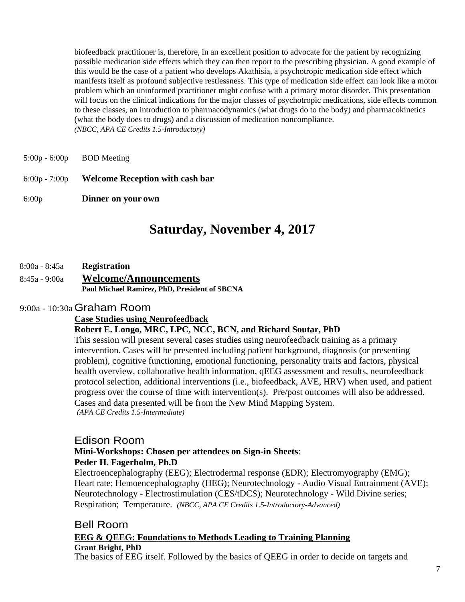biofeedback practitioner is, therefore, in an excellent position to advocate for the patient by recognizing possible medication side effects which they can then report to the prescribing physician. A good example of this would be the case of a patient who develops Akathisia, a psychotropic medication side effect which manifests itself as profound subjective restlessness. This type of medication side effect can look like a motor problem which an uninformed practitioner might confuse with a primary motor disorder. This presentation will focus on the clinical indications for the major classes of psychotropic medications, side effects common to these classes, an introduction to pharmacodynamics (what drugs do to the body) and pharmacokinetics (what the body does to drugs) and a discussion of medication noncompliance. *(NBCC, APA CE Credits 1.5-Introductory)* 

- $5:00p 6:00p$  BOD Meeting
- 6:00p 7:00p **Welcome Reception with cash bar**

6:00p **Dinner on your own** 

## **Saturday, November 4, 2017**

- 8:00a 8:45a **Registration**
- 8:45a 9:00a **Welcome/Announcements Paul Michael Ramirez, PhD, President of SBCNA**

### 9:00a - 10:30a Graham Room

#### **Case Studies using Neurofeedback**

### **Robert E. Longo, MRC, LPC, NCC, BCN, and Richard Soutar, PhD**

This session will present several cases studies using neurofeedback training as a primary intervention. Cases will be presented including patient background, diagnosis (or presenting problem), cognitive functioning, emotional functioning, personality traits and factors, physical health overview, collaborative health information, qEEG assessment and results, neurofeedback protocol selection, additional interventions (i.e., biofeedback, AVE, HRV) when used, and patient progress over the course of time with intervention(s). Pre/post outcomes will also be addressed. Cases and data presented will be from the New Mind Mapping System. *(APA CE Credits 1.5-Intermediate)* 

### Edison Room

## **Mini-Workshops: Chosen per attendees on Sign-in Sheets**: **Peder H. Fagerholm, Ph.D**

Electroencephalography (EEG); Electrodermal response (EDR); Electromyography (EMG); Heart rate; Hemoencephalography (HEG); Neurotechnology - Audio Visual Entrainment (AVE); Neurotechnology - Electrostimulation (CES/tDCS); Neurotechnology - Wild Divine series; Respiration; Temperature. *(NBCC, APA CE Credits 1.5-Introductory-Advanced)* 

## Bell Room **EEG & QEEG: Foundations to Methods Leading to Training Planning Grant Bright, PhD**

The basics of EEG itself. Followed by the basics of QEEG in order to decide on targets and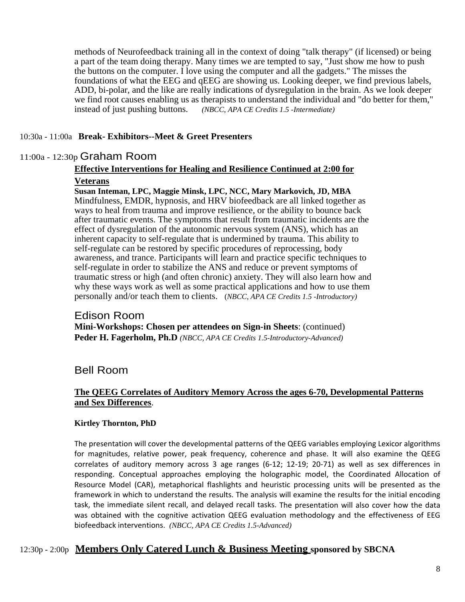methods of Neurofeedback training all in the context of doing "talk therapy" (if licensed) or being a part of the team doing therapy. Many times we are tempted to say, "Just show me how to push the buttons on the computer. I love using the computer and all the gadgets." The misses the foundations of what the EEG and qEEG are showing us. Looking deeper, we find previous labels, ADD, bi-polar, and the like are really indications of dysregulation in the brain. As we look deeper we find root causes enabling us as therapists to understand the individual and "do better for them," instead of just pushing buttons. *(NBCC*, *APA CE Credits 1.5 -Intermediate)*

## 10:30a - 11:00a **Break- Exhibitors--Meet & Greet Presenters**

## 11:00a - 12:30p Graham Room

## **Effective Interventions for Healing and Resilience Continued at 2:00 for**

## **Veterans**

#### **Susan Inteman, LPC, Maggie Minsk, LPC, NCC, Mary Markovich, JD, MBA**

Mindfulness, EMDR, hypnosis, and HRV biofeedback are all linked together as ways to heal from trauma and improve resilience, or the ability to bounce back after traumatic events. The symptoms that result from traumatic incidents are the effect of dysregulation of the autonomic nervous system (ANS), which has an inherent capacity to self-regulate that is undermined by trauma. This ability to self-regulate can be restored by specific procedures of reprocessing, body awareness, and trance. Participants will learn and practice specific techniques to self-regulate in order to stabilize the ANS and reduce or prevent symptoms of traumatic stress or high (and often chronic) anxiety. They will also learn how and why these ways work as well as some practical applications and how to use them personally and/or teach them to clients. (*NBCC*, *APA CE Credits 1.5 -Introductory)*

### Edison Room **Mini-Workshops: Chosen per attendees on Sign-in Sheets**: (continued) **Peder H. Fagerholm, Ph.D** *(NBCC, APA CE Credits 1.5-Introductory-Advanced)*

## Bell Room

### **The QEEG Correlates of Auditory Memory Across the ages 6-70, Developmental Patterns and Sex Differences**.

### **Kirtley Thornton, PhD**

The presentation will cover the developmental patterns of the QEEG variables employing Lexicor algorithms for magnitudes, relative power, peak frequency, coherence and phase. It will also examine the QEEG correlates of auditory memory across 3 age ranges (6‐12; 12‐19; 20‐71) as well as sex differences in responding. Conceptual approaches employing the holographic model, the Coordinated Allocation of Resource Model (CAR), metaphorical flashlights and heuristic processing units will be presented as the framework in which to understand the results. The analysis will examine the results for the initial encoding task, the immediate silent recall, and delayed recall tasks. The presentation will also cover how the data was obtained with the cognitive activation QEEG evaluation methodology and the effectiveness of EEG biofeedback interventions. *(NBCC, APA CE Credits 1.5-Advanced)* 

## 12:30p - 2:00p **Members Only Catered Lunch & Business Meeting sponsored by SBCNA**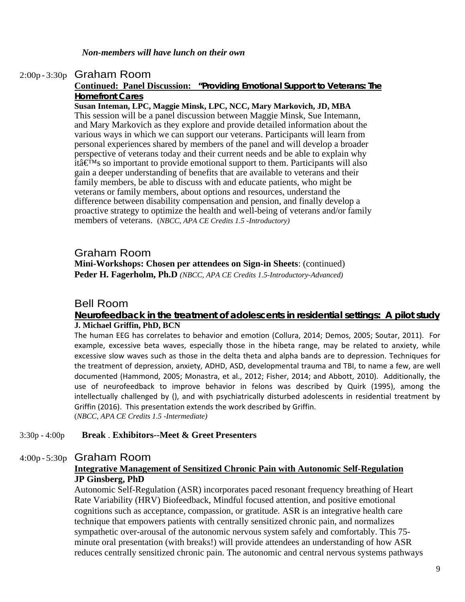## 2:00p - 3:30p Graham Room

#### **Continued: Panel Discussion: "Providing Emotional Support to Veterans: The Homefront Cares**

#### **Susan Inteman, LPC, Maggie Minsk, LPC, NCC, Mary Markovich, JD, MBA**

This session will be a panel discussion between Maggie Minsk, Sue Intemann, and Mary Markovich as they explore and provide detailed information about the various ways in which we can support our veterans. Participants will learn from personal experiences shared by members of the panel and will develop a broader perspective of veterans today and their current needs and be able to explain why itâ $\mathbf{\in}^{\mathbf{M}}$ s so important to provide emotional support to them. Participants will also gain a deeper understanding of benefits that are available to veterans and their family members, be able to discuss with and educate patients, who might be veterans or family members, about options and resources, understand the difference between disability compensation and pension, and finally develop a proactive strategy to optimize the health and well-being of veterans and/or family members of veterans. (*NBCC*, *APA CE Credits 1.5 -Introductory)*

## Graham Room **Mini-Workshops: Chosen per attendees on Sign-in Sheets**: (continued) **Peder H. Fagerholm, Ph.D** *(NBCC, APA CE Credits 1.5-Introductory-Advanced)*

## Bell Room

#### **Neurofeedback in the treatment of adolescents in residential settings: A pilot study J. Michael Griffin, PhD, BCN**

The human EEG has correlates to behavior and emotion (Collura, 2014; Demos, 2005; Soutar, 2011). For example, excessive beta waves, especially those in the hibeta range, may be related to anxiety, while excessive slow waves such as those in the delta theta and alpha bands are to depression. Techniques for the treatment of depression, anxiety, ADHD, ASD, developmental trauma and TBI, to name a few, are well documented (Hammond, 2005; Monastra, et al., 2012; Fisher, 2014; and Abbott, 2010). Additionally, the use of neurofeedback to improve behavior in felons was described by Quirk (1995), among the intellectually challenged by (), and with psychiatrically disturbed adolescents in residential treatment by Griffin (2016). This presentation extends the work described by Griffin. (*NBCC*, *APA CE Credits 1.5 -Intermediate)*

#### 3:30p - 4:00p **Break** . **Exhibitors--Meet & Greet Presenters**

## 4:00p - 5:30p Graham Room

## **Integrative Management of Sensitized Chronic Pain with Autonomic Self-Regulation JP Ginsberg, PhD**

Autonomic Self-Regulation (ASR) incorporates paced resonant frequency breathing of Heart Rate Variability (HRV) Biofeedback, Mindful focused attention, and positive emotional cognitions such as acceptance, compassion, or gratitude. ASR is an integrative health care technique that empowers patients with centrally sensitized chronic pain, and normalizes sympathetic over-arousal of the autonomic nervous system safely and comfortably. This 75 minute oral presentation (with breaks!) will provide attendees an understanding of how ASR reduces centrally sensitized chronic pain. The autonomic and central nervous systems pathways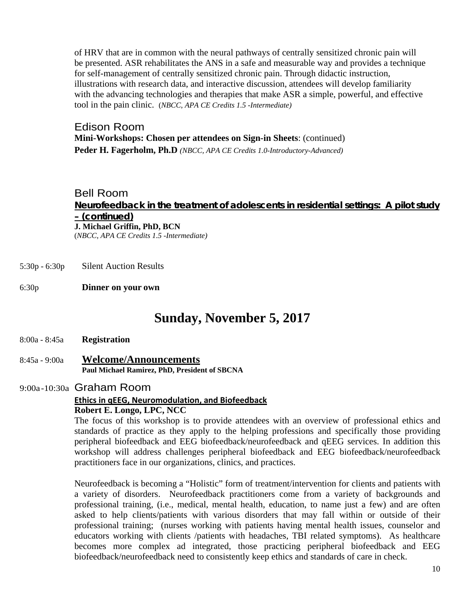of HRV that are in common with the neural pathways of centrally sensitized chronic pain will be presented. ASR rehabilitates the ANS in a safe and measurable way and provides a technique for self-management of centrally sensitized chronic pain. Through didactic instruction, illustrations with research data, and interactive discussion, attendees will develop familiarity with the advancing technologies and therapies that make ASR a simple, powerful, and effective tool in the pain clinic.(*NBCC*, *APA CE Credits 1.5 -Intermediate)* 

Edison Room **Mini-Workshops: Chosen per attendees on Sign-in Sheets**: (continued) **Peder H. Fagerholm, Ph.D** *(NBCC, APA CE Credits 1.0-Introductory-Advanced)* 

Bell Room **Neurofeedback in the treatment of adolescents in residential settings: A pilot study – (continued) J. Michael Griffin, PhD, BCN**  (*NBCC*, *APA CE Credits 1.5 -Intermediate)* 

- 5:30p 6:30p Silent Auction Results
- 6:30p **Dinner on your own**

## **Sunday, November 5, 2017**

- 8:00a 8:45a **Registration**
- 8:45a 9:00a **Welcome/Announcements Paul Michael Ramirez, PhD, President of SBCNA**

## 9:00a -10:30a Graham Room

## **Ethics in qEEG, Neuromodulation, and Biofeedback**

**Robert E. Longo, LPC, NCC** 

The focus of this workshop is to provide attendees with an overview of professional ethics and standards of practice as they apply to the helping professions and specifically those providing peripheral biofeedback and EEG biofeedback/neurofeedback and qEEG services. In addition this workshop will address challenges peripheral biofeedback and EEG biofeedback/neurofeedback practitioners face in our organizations, clinics, and practices.

Neurofeedback is becoming a "Holistic" form of treatment/intervention for clients and patients with a variety of disorders. Neurofeedback practitioners come from a variety of backgrounds and professional training, (i.e., medical, mental health, education, to name just a few) and are often asked to help clients/patients with various disorders that may fall within or outside of their professional training; (nurses working with patients having mental health issues, counselor and educators working with clients /patients with headaches, TBI related symptoms). As healthcare becomes more complex ad integrated, those practicing peripheral biofeedback and EEG biofeedback/neurofeedback need to consistently keep ethics and standards of care in check.